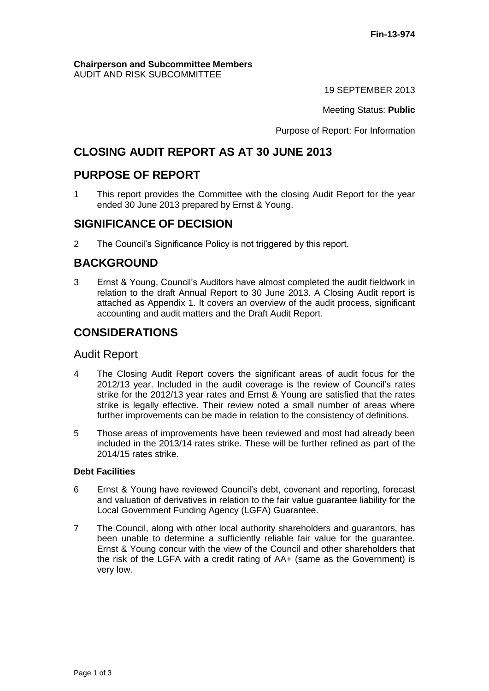#### **Chairperson and Subcommittee Members** AUDIT AND RISK SUBCOMMITTEE

19 SEPTEMBER 2013

Meeting Status: **Public**

Purpose of Report: For Information

# **CLOSING AUDIT REPORT AS AT 30 JUNE 2013**

# **PURPOSE OF REPORT**

1 This report provides the Committee with the closing Audit Report for the year ended 30 June 2013 prepared by Ernst & Young.

# **SIGNIFICANCE OF DECISION**

2 The Council's Significance Policy is not triggered by this report.

# **BACKGROUND**

3 Ernst & Young, Council's Auditors have almost completed the audit fieldwork in relation to the draft Annual Report to 30 June 2013. A Closing Audit report is attached as Appendix 1. It covers an overview of the audit process, significant accounting and audit matters and the Draft Audit Report.

# **CONSIDERATIONS**

### Audit Report

- 4 The Closing Audit Report covers the significant areas of audit focus for the 2012/13 year. Included in the audit coverage is the review of Council's rates strike for the 2012/13 year rates and Ernst & Young are satisfied that the rates strike is legally effective. Their review noted a small number of areas where further improvements can be made in relation to the consistency of definitions.
- 5 Those areas of improvements have been reviewed and most had already been included in the 2013/14 rates strike. These will be further refined as part of the 2014/15 rates strike.

### **Debt Facilities**

- 6 Ernst & Young have reviewed Council's debt, covenant and reporting, forecast and valuation of derivatives in relation to the fair value guarantee liability for the Local Government Funding Agency (LGFA) Guarantee.
- 7 The Council, along with other local authority shareholders and guarantors, has been unable to determine a sufficiently reliable fair value for the guarantee. Ernst & Young concur with the view of the Council and other shareholders that the risk of the LGFA with a credit rating of AA+ (same as the Government) is very low.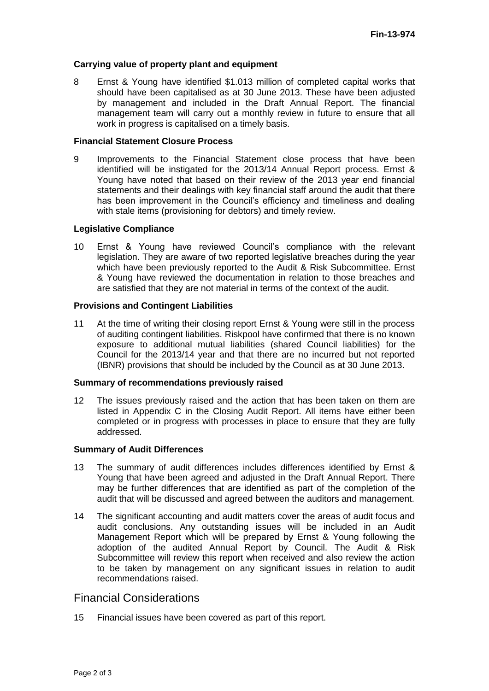#### **Carrying value of property plant and equipment**

8 Ernst & Young have identified \$1.013 million of completed capital works that should have been capitalised as at 30 June 2013. These have been adjusted by management and included in the Draft Annual Report. The financial management team will carry out a monthly review in future to ensure that all work in progress is capitalised on a timely basis.

#### **Financial Statement Closure Process**

9 Improvements to the Financial Statement close process that have been identified will be instigated for the 2013/14 Annual Report process. Ernst & Young have noted that based on their review of the 2013 year end financial statements and their dealings with key financial staff around the audit that there has been improvement in the Council's efficiency and timeliness and dealing with stale items (provisioning for debtors) and timely review.

#### **Legislative Compliance**

10 Ernst & Young have reviewed Council's compliance with the relevant legislation. They are aware of two reported legislative breaches during the year which have been previously reported to the Audit & Risk Subcommittee. Ernst & Young have reviewed the documentation in relation to those breaches and are satisfied that they are not material in terms of the context of the audit.

#### **Provisions and Contingent Liabilities**

11 At the time of writing their closing report Ernst & Young were still in the process of auditing contingent liabilities. Riskpool have confirmed that there is no known exposure to additional mutual liabilities (shared Council liabilities) for the Council for the 2013/14 year and that there are no incurred but not reported (IBNR) provisions that should be included by the Council as at 30 June 2013.

#### **Summary of recommendations previously raised**

12 The issues previously raised and the action that has been taken on them are listed in Appendix C in the Closing Audit Report. All items have either been completed or in progress with processes in place to ensure that they are fully addressed.

#### **Summary of Audit Differences**

- 13 The summary of audit differences includes differences identified by Ernst & Young that have been agreed and adjusted in the Draft Annual Report. There may be further differences that are identified as part of the completion of the audit that will be discussed and agreed between the auditors and management.
- 14 The significant accounting and audit matters cover the areas of audit focus and audit conclusions. Any outstanding issues will be included in an Audit Management Report which will be prepared by Ernst & Young following the adoption of the audited Annual Report by Council. The Audit & Risk Subcommittee will review this report when received and also review the action to be taken by management on any significant issues in relation to audit recommendations raised.

## Financial Considerations

15 Financial issues have been covered as part of this report.